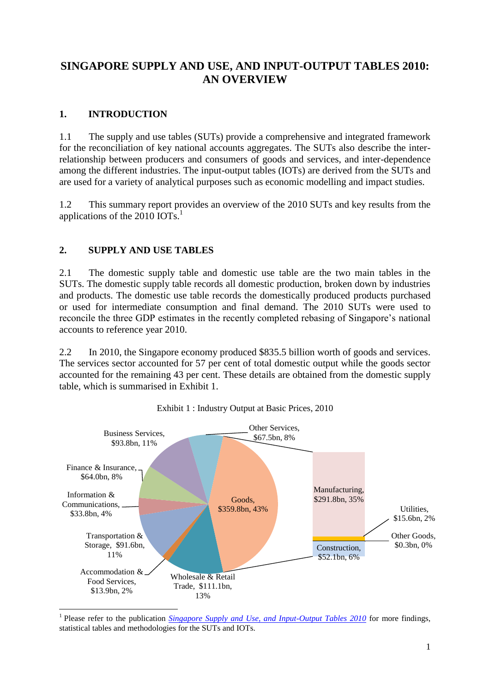# **SINGAPORE SUPPLY AND USE, AND INPUT-OUTPUT TABLES 2010: AN OVERVIEW**

## **1. INTRODUCTION**

1.1 The supply and use tables (SUTs) provide a comprehensive and integrated framework for the reconciliation of key national accounts aggregates. The SUTs also describe the interrelationship between producers and consumers of goods and services, and inter-dependence among the different industries. The input-output tables (IOTs) are derived from the SUTs and are used for a variety of analytical purposes such as economic modelling and impact studies.

1.2 This summary report provides an overview of the 2010 SUTs and key results from the applications of the  $2010$  IOTs.<sup>1</sup>

## **2. SUPPLY AND USE TABLES**

2.1 The domestic supply table and domestic use table are the two main tables in the SUTs. The domestic supply table records all domestic production, broken down by industries and products. The domestic use table records the domestically produced products purchased or used for intermediate consumption and final demand. The 2010 SUTs were used to reconcile the three GDP estimates in the recently completed rebasing of Singapore's national accounts to reference year 2010.

2.2 In 2010, the Singapore economy produced \$835.5 billion worth of goods and services. The services sector accounted for 57 per cent of total domestic output while the goods sector accounted for the remaining 43 per cent. These details are obtained from the domestic supply table, which is summarised in [Exhibit 1.](#page-0-0)

<span id="page-0-0"></span>

#### Exhibit 1 : Industry Output at Basic Prices, 2010

<sup>&</sup>lt;sup>1</sup> Please refer to the publication *[Singapore Supply and Use, and Input-Output Tables 2010](http://www.singstat.gov.sg/docs/default-source/default-document-library/publications/publications_and_papers/national_accounts/io_tables_2010_publication.pdf)* for more findings, statistical tables and methodologies for the SUTs and IOTs.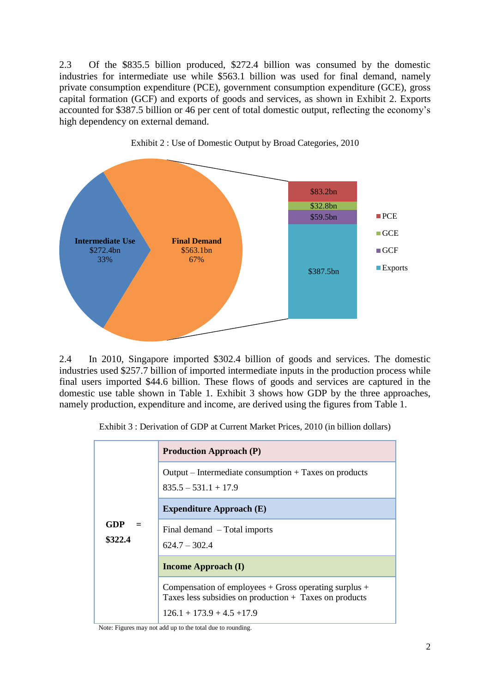2.3 Of the \$835.5 billion produced, \$272.4 billion was consumed by the domestic industries for intermediate use while \$563.1 billion was used for final demand, namely private consumption expenditure (PCE), government consumption expenditure (GCE), gross capital formation (GCF) and exports of goods and services, as shown in [Exhibit 2.](#page-1-0) Exports accounted for \$387.5 billion or 46 per cent of total domestic output, reflecting the economy's high dependency on external demand.

<span id="page-1-0"></span>

Exhibit 2 : Use of Domestic Output by Broad Categories, 2010

2.4 In 2010, Singapore imported \$302.4 billion of goods and services. The domestic industries used \$257.7 billion of imported intermediate inputs in the production process while final users imported \$44.6 billion. These flows of goods and services are captured in the domestic use table shown in Table 1. [Exhibit 3](#page-1-1) shows how GDP by the three approaches, namely production, expenditure and income, are derived using the figures from Table 1.

<span id="page-1-1"></span>Exhibit 3 : Derivation of GDP at Current Market Prices, 2010 (in billion dollars)

|                | <b>Production Approach (P)</b>                                                                                                                      |  |  |  |  |  |  |
|----------------|-----------------------------------------------------------------------------------------------------------------------------------------------------|--|--|--|--|--|--|
|                | $Output$ – Intermediate consumption + Taxes on products<br>$835.5 - 531.1 + 17.9$                                                                   |  |  |  |  |  |  |
|                | <b>Expenditure Approach (E)</b>                                                                                                                     |  |  |  |  |  |  |
| GDP<br>\$322.4 | Final demand – Total imports<br>$624.7 - 302.4$                                                                                                     |  |  |  |  |  |  |
|                | <b>Income Approach (I)</b>                                                                                                                          |  |  |  |  |  |  |
|                | Compensation of employees $+$ Gross operating surplus $+$<br>Taxes less subsidies on production + Taxes on products<br>$126.1 + 173.9 + 4.5 + 17.9$ |  |  |  |  |  |  |

Note: Figures may not add up to the total due to rounding.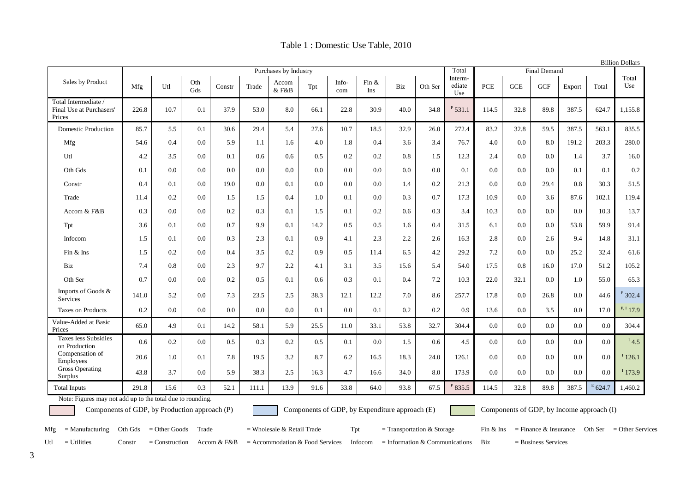| Table 1 : Domestic Use Table, 2010 |  |  |
|------------------------------------|--|--|
|------------------------------------|--|--|

| <b>Billion Dollars</b>                                     |                       |      |            |        |       |                |      |              |                     |      |         |                          |            |            |            |        |             |              |
|------------------------------------------------------------|-----------------------|------|------------|--------|-------|----------------|------|--------------|---------------------|------|---------|--------------------------|------------|------------|------------|--------|-------------|--------------|
|                                                            | Purchases by Industry |      |            |        |       |                |      | Total        | <b>Final Demand</b> |      |         |                          |            |            |            |        |             |              |
| Sales by Product                                           | Mfg                   | Utl  | Oth<br>Gds | Constr | Trade | Accom<br>& F&B | Tpt  | Info-<br>com | Fin $&$<br>Ins      | Biz  | Oth Ser | Interm-<br>ediate<br>Use | <b>PCE</b> | <b>GCE</b> | <b>GCF</b> | Export | Total       | Total<br>Use |
| Total Intermediate /<br>Final Use at Purchasers'<br>Prices | 226.8                 | 10.7 | 0.1        | 37.9   | 53.0  | 8.0            | 66.1 | 22.8         | 30.9                | 40.0 | 34.8    | $P_{531.1}$              | 114.5      | 32.8       | 89.8       | 387.5  | 624.7       | 1,155.8      |
| Domestic Production                                        | 85.7                  | 5.5  | 0.1        | 30.6   | 29.4  | 5.4            | 27.6 | 10.7         | 18.5                | 32.9 | 26.0    | 272.4                    | 83.2       | 32.8       | 59.5       | 387.5  | 563.1       | 835.5        |
| Mfg                                                        | 54.6                  | 0.4  | 0.0        | 5.9    | 1.1   | 1.6            | 4.0  | 1.8          | 0.4                 | 3.6  | 3.4     | 76.7                     | 4.0        | 0.0        | 8.0        | 191.2  | 203.3       | 280.0        |
| Utl                                                        | 4.2                   | 3.5  | 0.0        | 0.1    | 0.6   | 0.6            | 0.5  | 0.2          | 0.2                 | 0.8  | 1.5     | 12.3                     | 2.4        | 0.0        | 0.0        | 1.4    | 3.7         | 16.0         |
| Oth Gds                                                    | 0.1                   | 0.0  | 0.0        | 0.0    | 0.0   | 0.0            | 0.0  | 0.0          | 0.0                 | 0.0  | 0.0     | 0.1                      | 0.0        | 0.0        | 0.0        | 0.1    | 0.1         | 0.2          |
| Constr                                                     | 0.4                   | 0.1  | 0.0        | 19.0   | 0.0   | 0.1            | 0.0  | 0.0          | 0.0                 | 1.4  | 0.2     | 21.3                     | 0.0        | 0.0        | 29.4       | 0.8    | 30.3        | 51.5         |
| Trade                                                      | 11.4                  | 0.2  | 0.0        | 1.5    | 1.5   | 0.4            | 1.0  | 0.1          | 0.0                 | 0.3  | 0.7     | 17.3                     | 10.9       | 0.0        | 3.6        | 87.6   | 102.1       | 119.4        |
| Accom & F&B                                                | 0.3                   | 0.0  | 0.0        | 0.2    | 0.3   | 0.1            | 1.5  | 0.1          | 0.2                 | 0.6  | 0.3     | 3.4                      | 10.3       | 0.0        | 0.0        | 0.0    | 10.3        | 13.7         |
| Tpt                                                        | 3.6                   | 0.1  | 0.0        | 0.7    | 9.9   | 0.1            | 14.2 | 0.5          | 0.5                 | 1.6  | 0.4     | 31.5                     | 6.1        | 0.0        | 0.0        | 53.8   | 59.9        | 91.4         |
| Infocom                                                    | 1.5                   | 0.1  | 0.0        | 0.3    | 2.3   | 0.1            | 0.9  | 4.1          | 2.3                 | 2.2  | 2.6     | 16.3                     | 2.8        | 0.0        | 2.6        | 9.4    | 14.8        | 31.1         |
| $Fin &$ Ins                                                | 1.5                   | 0.2  | 0.0        | 0.4    | 3.5   | 0.2            | 0.9  | 0.5          | 11.4                | 6.5  | 4.2     | 29.2                     | 7.2        | 0.0        | 0.0        | 25.2   | 32.4        | 61.6         |
| Biz                                                        | 7.4                   | 0.8  | 0.0        | 2.3    | 9.7   | 2.2            | 4.1  | 3.1          | 3.5                 | 15.6 | 5.4     | 54.0                     | 17.5       | 0.8        | 16.0       | 17.0   | 51.2        | 105.2        |
| Oth Ser                                                    | 0.7                   | 0.0  | 0.0        | 0.2    | 0.5   | 0.1            | 0.6  | 0.3          | 0.1                 | 0.4  | 7.2     | 10.3                     | 22.0       | 32.1       | 0.0        | 1.0    | 55.0        | 65.3         |
| Imports of Goods &<br>Services                             | 141.0                 | 5.2  | 0.0        | 7.3    | 23.5  | 2.5            | 38.3 | 12.1         | 12.2                | 7.0  | 8.6     | 257.7                    | 17.8       | 0.0        | 26.8       | 0.0    | 44.6        | $E$ 302.4    |
| Taxes on Products                                          | 0.2                   | 0.0  | 0.0        | 0.0    | 0.0   | 0.0            | 0.1  | 0.0          | 0.1                 | 0.2  | 0.2     | 0.9                      | 13.6       | 0.0        | 3.5        | 0.0    | 17.0        | $P, I$ 17.9  |
| Value-Added at Basic<br>Prices                             | 65.0                  | 4.9  | 0.1        | 14.2   | 58.1  | 5.9            | 25.5 | 11.0         | 33.1                | 53.8 | 32.7    | 304.4                    | 0.0        | 0.0        | 0.0        | 0.0    | 0.0         | 304.4        |
| <b>Taxes less Subsidies</b><br>on Production               | 0.6                   | 0.2  | 0.0        | 0.5    | 0.3   | 0.2            | 0.5  | 0.1          | 0.0                 | 1.5  | 0.6     | 4.5                      | 0.0        | 0.0        | 0.0        | 0.0    | 0.0         | 14.5         |
| Compensation of<br>Employees                               | 20.6                  | 1.0  | 0.1        | 7.8    | 19.5  | 3.2            | 8.7  | 6.2          | 16.5                | 18.3 | 24.0    | 126.1                    | 0.0        | 0.0        | 0.0        | 0.0    | 0.0         | 126.1        |
| <b>Gross Operating</b><br><b>Surplus</b>                   | 43.8                  | 3.7  | 0.0        | 5.9    | 38.3  | 2.5            | 16.3 | 4.7          | 16.6                | 34.0 | 8.0     | 173.9                    | 0.0        | 0.0        | 0.0        | 0.0    | 0.0         | 1173.9       |
| <b>Total Inputs</b>                                        | 291.8                 | 15.6 | 0.3        | 52.1   | 111.1 | 13.9           | 91.6 | 33.8         | 64.0                | 93.8 | 67.5    | $P$ 835.5                | 114.5      | 32.8       | 89.8       | 387.5  | $E_{624.7}$ | 1,460.2      |

Note: Figures may not add up to the total due to rounding.

Components of GDP, by Production approach (P) Components of GDP, by Expenditure approach (E) Components of GDP, by Income approach (I)

Utl = Utilities Constr = Construction Accom & F&B = Accommodation & Food Services Infocom = Information & Communications Biz = Business Services

Mfg = Manufacturing Oth Gds = Other Goods Trade = Wholesale & Retail Trade Tpt = Transportation & Storage Fin & Ins = Finance & Insurance Oth Ser = Other Services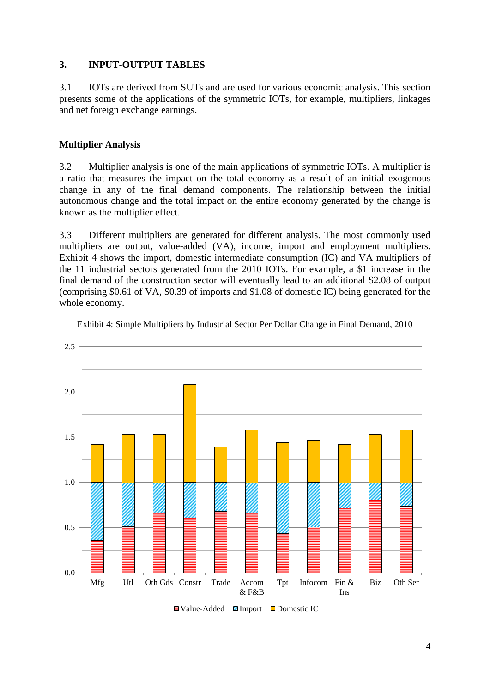### **3. INPUT-OUTPUT TABLES**

3.1 IOTs are derived from SUTs and are used for various economic analysis. This section presents some of the applications of the symmetric IOTs, for example, multipliers, linkages and net foreign exchange earnings.

### **Multiplier Analysis**

3.2 Multiplier analysis is one of the main applications of symmetric IOTs. A multiplier is a ratio that measures the impact on the total economy as a result of an initial exogenous change in any of the final demand components. The relationship between the initial autonomous change and the total impact on the entire economy generated by the change is known as the multiplier effect.

3.3 Different multipliers are generated for different analysis. The most commonly used multipliers are output, value-added (VA), income, import and employment multipliers. [Exhibit 4](#page-3-0) shows the import, domestic intermediate consumption (IC) and VA multipliers of the 11 industrial sectors generated from the 2010 IOTs. For example, a \$1 increase in the final demand of the construction sector will eventually lead to an additional \$2.08 of output (comprising \$0.61 of VA, \$0.39 of imports and \$1.08 of domestic IC) being generated for the whole economy.



<span id="page-3-0"></span>Exhibit 4: Simple Multipliers by Industrial Sector Per Dollar Change in Final Demand, 2010

 $\Box$ Value-Added  $\Box$ Import  $\Box$ Domestic IC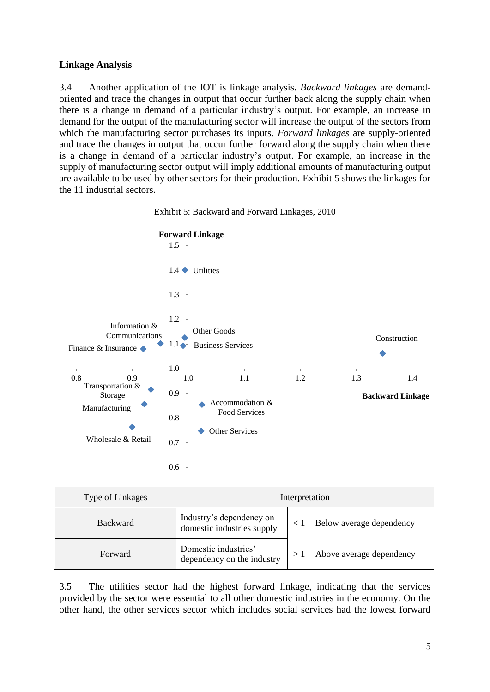### **Linkage Analysis**

3.4 Another application of the IOT is linkage analysis. *Backward linkages* are demandoriented and trace the changes in output that occur further back along the supply chain when there is a change in demand of a particular industry's output. For example, an increase in demand for the output of the manufacturing sector will increase the output of the sectors from which the manufacturing sector purchases its inputs. *Forward linkages* are supply-oriented and trace the changes in output that occur further forward along the supply chain when there is a change in demand of a particular industry's output. For example, an increase in the supply of manufacturing sector output will imply additional amounts of manufacturing output are available to be used by other sectors for their production. [Exhibit 5](#page-4-0) shows the linkages for the 11 industrial sectors.

<span id="page-4-0"></span>



| Type of Linkages | Interpretation                                         |  |                          |  |  |  |
|------------------|--------------------------------------------------------|--|--------------------------|--|--|--|
| <b>Backward</b>  | Industry's dependency on<br>domestic industries supply |  | Below average dependency |  |  |  |
| Forward          | Domestic industries'<br>dependency on the industry     |  | Above average dependency |  |  |  |

3.5 The utilities sector had the highest forward linkage, indicating that the services provided by the sector were essential to all other domestic industries in the economy. On the other hand, the other services sector which includes social services had the lowest forward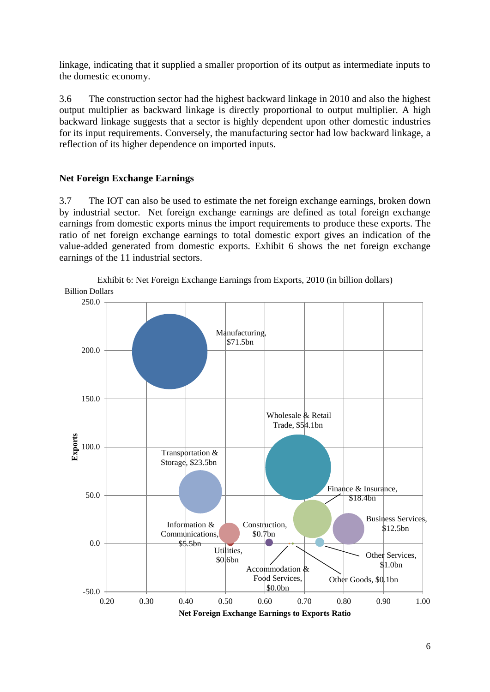<span id="page-5-0"></span>linkage, indicating that it supplied a smaller proportion of its output as intermediate inputs to the domestic economy.

3.6 The construction sector had the highest backward linkage in 2010 and also the highest output multiplier as backward linkage is directly proportional to output multiplier. A high backward linkage suggests that a sector is highly dependent upon other domestic industries for its input requirements. Conversely, the manufacturing sector had low backward linkage, a reflection of its higher dependence on imported inputs.

### **Net Foreign Exchange Earnings**

3.7 The IOT can also be used to estimate the net foreign exchange earnings, broken down by industrial sector. Net foreign exchange earnings are defined as total foreign exchange earnings from domestic exports minus the import requirements to produce these exports. The ratio of net foreign exchange earnings to total domestic export gives an indication of the value-added generated from domestic exports. [Exhibit 6](#page-5-0) shows the net foreign exchange earnings of the 11 industrial sectors.



Exhibit 6: Net Foreign Exchange Earnings from Exports, 2010 (in billion dollars)